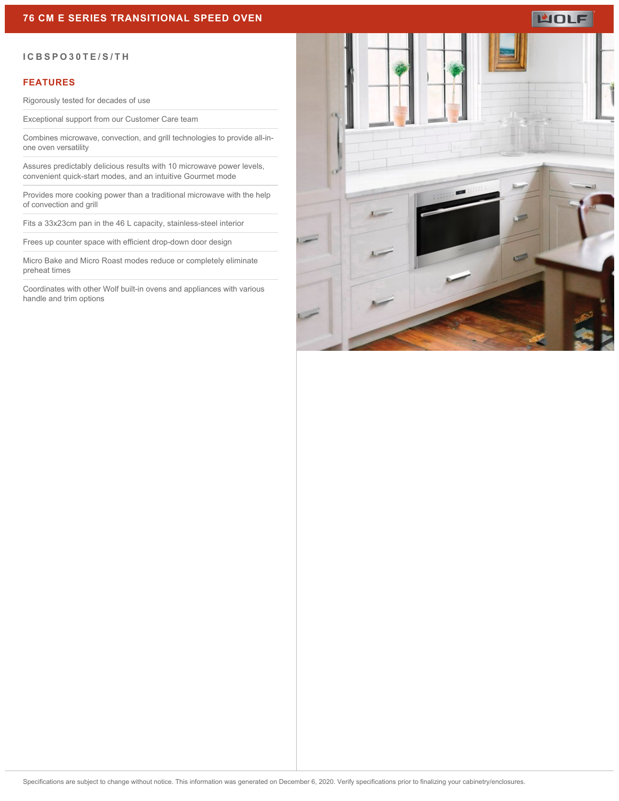## **76 CM E SERIES TRANSITIONAL SPEED OVEN**

# **WOLF**

#### **ICBSPO30TE/S/TH**

### **FEATURES**

Rigorously tested for decades of use

Exceptional support from our Customer Care team

Combines microwave, convection, and grill technologies to provide all-inone oven versatility

Assures predictably delicious results with 10 microwave power levels, convenient quick-start modes, and an intuitive Gourmet mode

Provides more cooking power than a traditional microwave with the help of convection and grill

Fits a 33x23cm pan in the 46 L capacity, stainless-steel interior

Frees up counter space with efficient drop-down door design

Micro Bake and Micro Roast modes reduce or completely eliminate preheat times

Coordinates with other Wolf built-in ovens and appliances with various handle and trim options